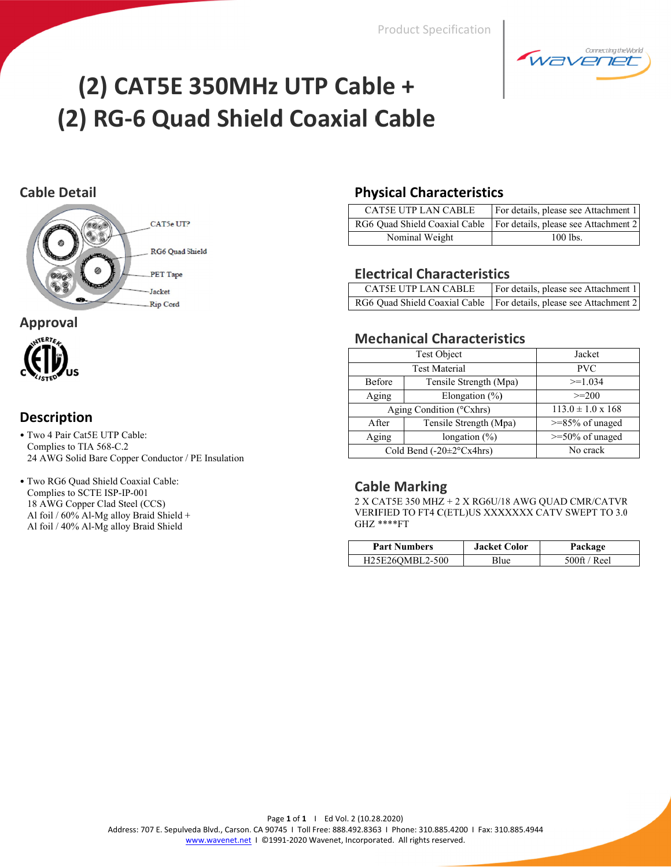**Product Specification** 



# (2) CAT5E 350MHz UTP Cable + (2) RG-6 Quad Shield Coaxial Cable

## **Cable Detail**



#### **Approval**



## **Description**

- Two 4 Pair Cat5E UTP Cable: Complies to TIA 568-C.2 24 AWG Solid Bare Copper Conductor / PE Insulation
- · Two RG6 Quad Shield Coaxial Cable: Complies to SCTE ISP-IP-001 18 AWG Copper Clad Steel (CCS) Al foil / 60% Al-Mg alloy Braid Shield + Al foil / 40% Al-Mg alloy Braid Shield

## **Physical Characteristics**

| CAT5E UTP LAN CABLE | For details, please see Attachment 1                                 |
|---------------------|----------------------------------------------------------------------|
|                     | RG6 Quad Shield Coaxial Cable   For details, please see Attachment 2 |
| Nominal Weight      | 100 lbs.                                                             |

## **Electrical Characteristics**

| <b>CAT5E UTP LAN CABLE</b> | For details, please see Attachment 1                                 |
|----------------------------|----------------------------------------------------------------------|
|                            | RG6 Quad Shield Coaxial Cable   For details, please see Attachment 2 |

## **Mechanical Characteristics**

|                                        | <b>Test Object</b>       | Jacket                     |
|----------------------------------------|--------------------------|----------------------------|
| <b>Test Material</b>                   |                          | <b>PVC</b>                 |
| Before                                 | Tensile Strength (Mpa)   | $>=1.034$                  |
| Aging                                  | Elongation $(\% )$       | $\geq$ = 200               |
|                                        | Aging Condition (°Cxhrs) | $113.0 \pm 1.0 \times 168$ |
| After                                  | Tensile Strength (Mpa)   | $>=85\%$ of unaged         |
| Aging                                  | longation $(\% )$        | $>=$ 50% of unaged         |
| Cold Bend $(-20 \pm 2^{\circ} Cx4hrs)$ |                          | No crack                   |

#### **Cable Marking**

 $2$  X CAT5E 350 MHZ  $+$  2 X RG6U/18 AWG QUAD CMR/CATVR VERIFIED TO FT4 C(ETL)US XXXXXXX CATV SWEPT TO 3.0 GHZ \*\*\*\*FT

| <b>Part Numbers</b> | <b>Jacket Color</b> | Package    |
|---------------------|---------------------|------------|
| H25E26OMBL2-500     | Blue                | 500ft/Reel |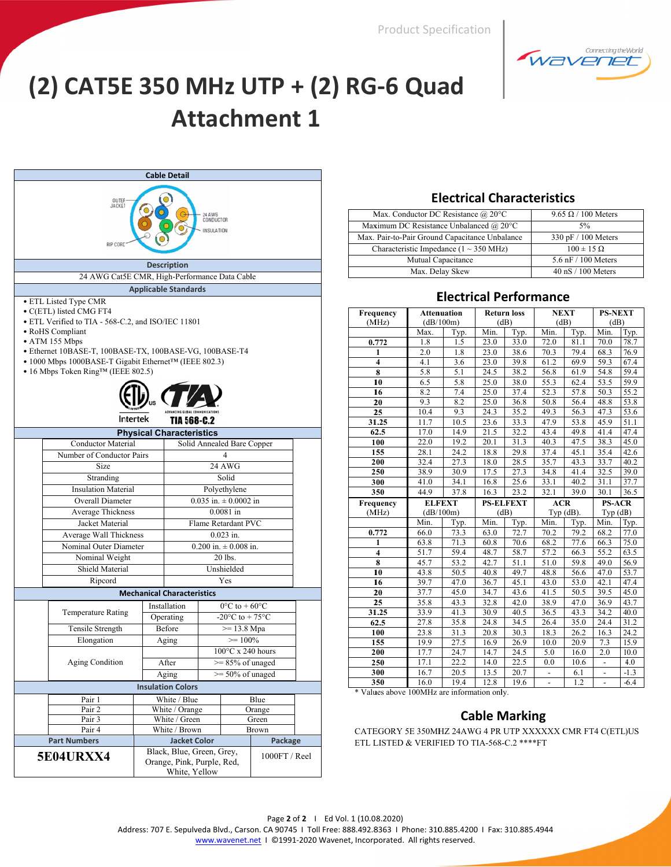**Product Specification** 



# (2) CAT5E 350 MHz UTP + (2) RG-6 Quad **Attachment 1**

| Cable Detail                                                                                                                                                                                                                                                                                                                                                            |                                                     |                                   |                                    |                                                       |                       |  |
|-------------------------------------------------------------------------------------------------------------------------------------------------------------------------------------------------------------------------------------------------------------------------------------------------------------------------------------------------------------------------|-----------------------------------------------------|-----------------------------------|------------------------------------|-------------------------------------------------------|-----------------------|--|
| OUTEF<br><b>JACKET</b><br>24 AWG<br>CONDUCTOR<br><b>INSULATION</b><br><b>RIP CORD</b>                                                                                                                                                                                                                                                                                   |                                                     |                                   |                                    |                                                       |                       |  |
|                                                                                                                                                                                                                                                                                                                                                                         |                                                     | <b>Description</b>                |                                    |                                                       |                       |  |
| 24 AWG Cat5E CMR, High-Performance Data Cable                                                                                                                                                                                                                                                                                                                           |                                                     |                                   |                                    |                                                       |                       |  |
|                                                                                                                                                                                                                                                                                                                                                                         |                                                     |                                   |                                    |                                                       |                       |  |
| <b>Applicable Standards</b><br>• ETL Listed Type CMR<br>• C(ETL) listed CMG FT4<br>• ETL Verified to TIA - 568-C.2, and ISO/IEC 11801<br>• RoHS Compliant<br>$\bullet$ ATM 155 Mbps<br>· Ethernet 10BASE-T, 100BASE-TX, 100BASE-VG, 100BASE-T4<br>• 1000 Mbps 1000BASE-T Gigabit Ethernet <sup>TM</sup> (IEEE 802.3)<br>• 16 Mbps Token Ring <sup>TM</sup> (IEEE 802.5) |                                                     |                                   |                                    |                                                       |                       |  |
| Intertek                                                                                                                                                                                                                                                                                                                                                                |                                                     | <b>TIA 568-C.2</b>                |                                    |                                                       |                       |  |
|                                                                                                                                                                                                                                                                                                                                                                         |                                                     | <b>Physical Characteristics</b>   |                                    |                                                       |                       |  |
| Conductor Material                                                                                                                                                                                                                                                                                                                                                      |                                                     |                                   |                                    | Solid Annealed Bare Copper                            |                       |  |
| Number of Conductor Pairs                                                                                                                                                                                                                                                                                                                                               |                                                     |                                   |                                    | 4                                                     |                       |  |
| Size                                                                                                                                                                                                                                                                                                                                                                    |                                                     |                                   |                                    | 24 AWG                                                |                       |  |
| Solid<br>Stranding                                                                                                                                                                                                                                                                                                                                                      |                                                     |                                   |                                    |                                                       |                       |  |
| <b>Insulation Material</b>                                                                                                                                                                                                                                                                                                                                              | Polyethylene                                        |                                   |                                    |                                                       |                       |  |
| Overall Diameter                                                                                                                                                                                                                                                                                                                                                        |                                                     |                                   |                                    | $0.035$ in. $\pm 0.0002$ in                           |                       |  |
| Average Thickness                                                                                                                                                                                                                                                                                                                                                       |                                                     |                                   |                                    | $0.0081$ in                                           |                       |  |
| Jacket Material                                                                                                                                                                                                                                                                                                                                                         |                                                     |                                   |                                    | Flame Retardant PVC                                   |                       |  |
| Average Wall Thickness                                                                                                                                                                                                                                                                                                                                                  |                                                     |                                   |                                    | $0.023$ in.                                           |                       |  |
| Nominal Outer Diameter                                                                                                                                                                                                                                                                                                                                                  |                                                     |                                   |                                    | $0.200$ in. $\pm 0.008$ in.                           |                       |  |
| Nominal Weight                                                                                                                                                                                                                                                                                                                                                          |                                                     |                                   |                                    | 20 lbs.                                               |                       |  |
| Shield Material                                                                                                                                                                                                                                                                                                                                                         |                                                     |                                   |                                    | Unshielded                                            |                       |  |
| Ripcord                                                                                                                                                                                                                                                                                                                                                                 |                                                     |                                   |                                    | Yes                                                   |                       |  |
|                                                                                                                                                                                                                                                                                                                                                                         |                                                     | <b>Mechanical Characteristics</b> |                                    |                                                       |                       |  |
|                                                                                                                                                                                                                                                                                                                                                                         |                                                     | Installation                      | $0^{\circ}$ C to + 60 $^{\circ}$ C |                                                       |                       |  |
| <b>Temperature Rating</b>                                                                                                                                                                                                                                                                                                                                               |                                                     | Operating                         |                                    | -20 $\mathrm{^{\circ}C}$ to + 75 $\mathrm{^{\circ}C}$ |                       |  |
| Tensile Strength                                                                                                                                                                                                                                                                                                                                                        |                                                     | Before                            |                                    | $>= 13.8 \text{ Mpa}$                                 |                       |  |
| Elongation                                                                                                                                                                                                                                                                                                                                                              |                                                     | Aging                             |                                    | $>= 100\%$                                            |                       |  |
|                                                                                                                                                                                                                                                                                                                                                                         |                                                     |                                   |                                    | $100^{\circ}$ C x 240 hours                           |                       |  |
|                                                                                                                                                                                                                                                                                                                                                                         | Aging Condition<br>After<br>$\approx$ 85% of unaged |                                   |                                    |                                                       |                       |  |
|                                                                                                                                                                                                                                                                                                                                                                         |                                                     | Aging                             |                                    | $\ge$ 50% of unaged                                   |                       |  |
|                                                                                                                                                                                                                                                                                                                                                                         |                                                     | <b>Insulation Colors</b>          |                                    |                                                       |                       |  |
| Pair 1                                                                                                                                                                                                                                                                                                                                                                  |                                                     | White / Blue                      |                                    |                                                       | Blue                  |  |
| Pair 2                                                                                                                                                                                                                                                                                                                                                                  |                                                     | White / Orange                    |                                    |                                                       | Orange                |  |
| Pair 3<br>Pair <sub>4</sub>                                                                                                                                                                                                                                                                                                                                             |                                                     | White / Green<br>White / Brown    |                                    |                                                       | Green<br><b>Brown</b> |  |
| <b>Part Numbers</b>                                                                                                                                                                                                                                                                                                                                                     |                                                     | <b>Jacket Color</b>               |                                    |                                                       | Package               |  |
| Black, Blue, Green, Grey,<br>1000FT / Reel<br><b>5E04URXX4</b><br>Orange, Pink, Purple, Red,<br>White, Yellow                                                                                                                                                                                                                                                           |                                                     |                                   |                                    |                                                       |                       |  |

#### **Electrical Characteristics**

| Max. Conductor DC Resistance $\omega$ 20°C     | $9.65 \Omega / 100$ Meters |
|------------------------------------------------|----------------------------|
| Maximum DC Resistance Unbalanced @ 20°C        | 5%                         |
| Max. Pair-to-Pair Ground Capacitance Unbalance | 330 pF / 100 Meters        |
| Characteristic Impedance ( $1 \sim 350$ MHz)   | $100 \pm 15 \Omega$        |
| Mutual Capacitance                             | $5.6$ nF $/$ 100 Meters    |
| Max. Delay Skew                                | 40 nS / 100 Meters         |

#### **Electrical Performance**

| Frequency               | <b>Attenuation</b> |                  |              | <b>Return loss</b> | <b>NEXT</b>              |                   | <b>PS-NEXT</b> |                  |
|-------------------------|--------------------|------------------|--------------|--------------------|--------------------------|-------------------|----------------|------------------|
| (MHz)                   | (dB/100m)          |                  | (dB)         |                    | (dB)                     |                   | (dB)           |                  |
|                         | Max.               | Typ.             | Min.         | Typ.               | Min.                     | Typ.              | Min.           | Typ.             |
| 0.772                   | 1.8                | 1.5              | 23.0         | 33.0               | 72.0                     | $\overline{81.1}$ | 70.0           | 78.7             |
| 1                       | 2.0                | 1.8              | 23.0         | 38.6               | 70.3                     | 79.4              | 68.3           | 76.9             |
| $\overline{\mathbf{4}}$ | 4.1                | 3.6              | 23.0         | 39.8               | 61.2                     | 69.9              | 59.3           | 67.4             |
| 8                       | 5.8                | $\overline{5.1}$ | 24.5         | 38.2               | 56.8                     | 61.9              | 54.8           | 59.4             |
| 10                      | 6.5                | 5.8              | 25.0         | 38.0               | 55.3                     | 62.4              | 53.5           | 59.9             |
| 16                      | 8.2                | 7.4              | 25.0         | 37.4               | 52.3                     | 57.8              | 50.3           | 55.2             |
| 20                      | 9.3                | 8.2              | 25.0         | 36.8               | 50.8                     | 56.4              | 48.8           | 53.8             |
| 25                      | 10.4               | 9.3              | 24.3         | 35.2               | 49.3                     | 56.3              | 47.3           | 53.6             |
| 31.25                   | 11.7               | 10.5             | 23.6         | 33.3               | 47.9                     | 53.8              | 45.9           | 51.1             |
| 62.5                    | 17.0               | 14.9             | 21.5         | 32.2               | 43.4                     | 49.8              | 41.4           | 47.4             |
| 100                     | 22.0               | 19.2             | 20.1         | 31.3               | 40.3                     | 47.5              | 38.3           | 45.0             |
| 155                     | 28.1               | 24.2             | 18.8         | 29.8               | 37.4                     | 45.1              | 35.4           | 42.6             |
| 200                     | 32.4               | 27.3             | 18.0         | 28.5               | 35.7                     | 43.3              | 33.7           | 40.2             |
| 250                     | 38.9               | 30.9             | 17.5         | 27.3               | 34.8                     | 41.4              | 32.5           | 39.0             |
| 300                     | 41.0               | 34.1             | 16.8         | 25.6               | 33.1                     | 40.2              | 31.1           | 37.7             |
| 350                     | 44.9               | 37.8             | 16.3         | 23.2               | 32.1                     | 39.0              | 30.1           | 36.5             |
|                         |                    |                  |              |                    |                          |                   |                |                  |
| Frequency               | <b>ELFEXT</b>      |                  |              | <b>PS-ELFEXT</b>   | <b>ACR</b>               |                   | <b>PS-ACR</b>  |                  |
| (MHz)                   | (dB/100m)          |                  | (dB)         |                    |                          | Typ $(dB)$ .      | Typ(dB)        |                  |
|                         | Min.               | Typ.             | Min.         | Typ.               | Min.                     | Typ.              | Min.           | Typ.             |
| 0.772                   | 66.0               | 73.3             | 63.0         | 72.7               | 70.2                     | 79.2              | 68.2           | 77.0             |
| $\mathbf{1}$            | 63.8               | 71.3             | 60.8         | 70.6               | 68.2                     | 77.6              | 66.3           | 75.0             |
| 4                       | 51.7               | 59.4             | 48.7         | 58.7               | 57.2                     | 66.3              | 55.2           | 63.5             |
| 8                       | 45.7               | 53.2             | 42.7         | 51.1               | 51.0                     | 59.8              | 49.0           | 56.9             |
| 10                      | 43.8               | 50.5             | 40.8         | 49.7               | 48.8                     | 56.6              | 47.0           | 53.7             |
| 16                      | 39.7               | 47.0             | 36.7         | 45.1               | 43.0                     | 53.0              | 42.1           | 47.4             |
| 20                      | 37.7               | 45.0             | 34.7         | 43.6               | 41.5                     | 50.5              | 39.5           | 45.0             |
| 25                      | 35.8               | 43.3             | 32.8         | 42.0               | 38.9                     | 47.0              | 36.9           | 43.7             |
| 31.25                   | 33.9               | 41.3             | 30.9         | 40.5               | 36.5                     | 43.3              | 34.2           | 40.0             |
| 62.5                    | 27.8               | 35.8             | 24.8         | 34.5               | 26.4                     | 35.0              | 24.4           | 31.2             |
| 100                     | 23.8               | 31.3             | 20.8         | 30.3               | 18.3                     | 26.2              | 16.3           | 24.2             |
| 155                     | 19.9               | 27.5             | 16.9         | 26.9               | 10.0                     | 20.9              | 7.3            | 15.9             |
| 200                     | 17.7               | 24.7             | 14.7         | 24.5               | 5.0                      | 16.0              | 2.0            | 10.0             |
| 250                     | 17.1               | 22.2             | 14.0         | 22.5               | 0.0                      | 10.6              | $\frac{1}{2}$  | 4.0              |
| 300<br>350              | 16.7<br>16.0       | 20.5<br>19.4     | 13.5<br>12.8 | 20.7<br>19.6       | $\overline{\phantom{a}}$ | 6.1<br>1.2        |                | $-1.3$<br>$-6.4$ |

\* Values above 100MHz are information only.

#### **Cable Marking**

CATEGORY 5E 350MHZ 24AWG 4 PR UTP XXXXXX CMR FT4 C(ETL)US ETL LISTED & VERIFIED TO TIA-568-C.2 \*\*\*\* FT